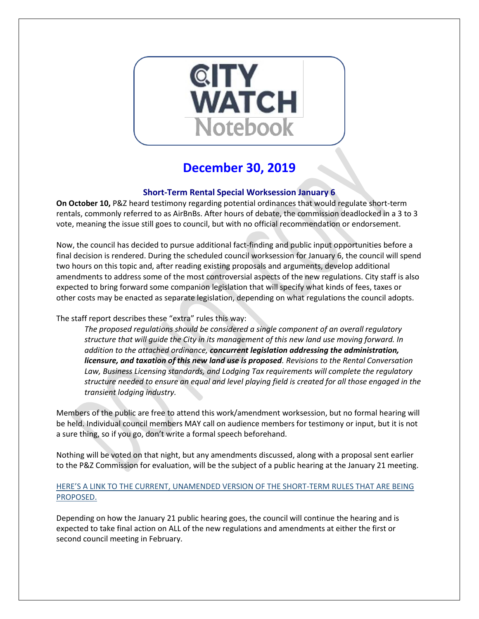

# **December 30, 2019**

# **Short-Term Rental Special Worksession January 6**

**On October 10,** P&Z heard testimony regarding potential ordinances that would regulate short-term rentals, commonly referred to as AirBnBs. After hours of debate, the commission deadlocked in a 3 to 3 vote, meaning the issue still goes to council, but with no official recommendation or endorsement.

Now, the council has decided to pursue additional fact-finding and public input opportunities before a final decision is rendered. During the scheduled council worksession for January 6, the council will spend two hours on this topic and, after reading existing proposals and arguments, develop additional amendments to address some of the most controversial aspects of the new regulations. City staff is also expected to bring forward some companion legislation that will specify what kinds of fees, taxes or other costs may be enacted as separate legislation, depending on what regulations the council adopts.

The staff report describes these "extra" rules this way:

*The proposed regulations should be considered a single component of an overall regulatory structure that will guide the City in its management of this new land use moving forward. In addition to the attached ordinance, concurrent legislation addressing the administration, licensure, and taxation of this new land use is proposed. Revisions to the Rental Conversation Law, Business Licensing standards, and Lodging Tax requirements will complete the regulatory structure needed to ensure an equal and level playing field is created for all those engaged in the transient lodging industry.*

Members of the public are free to attend this work/amendment worksession, but no formal hearing will be held. Individual council members MAY call on audience members for testimony or input, but it is not a sure thing, so if you go, don't write a formal speech beforehand.

Nothing will be voted on that night, but any amendments discussed, along with a proposal sent earlier to the P&Z Commission for evaluation, will be the subject of a public hearing at the January 21 meeting.

# [HERE'S A LINK TO THE CURRENT, UNAMENDED VERSION OF THE SHORT](http://gocolumbiamo.legistar.com/gateway.aspx?M=F&ID=877a6665-a6ed-477a-86ba-3d4cddd36f76.pdf)-TERM RULES THAT ARE BEING [PROPOSED.](http://gocolumbiamo.legistar.com/gateway.aspx?M=F&ID=877a6665-a6ed-477a-86ba-3d4cddd36f76.pdf)

Depending on how the January 21 public hearing goes, the council will continue the hearing and is expected to take final action on ALL of the new regulations and amendments at either the first or second council meeting in February.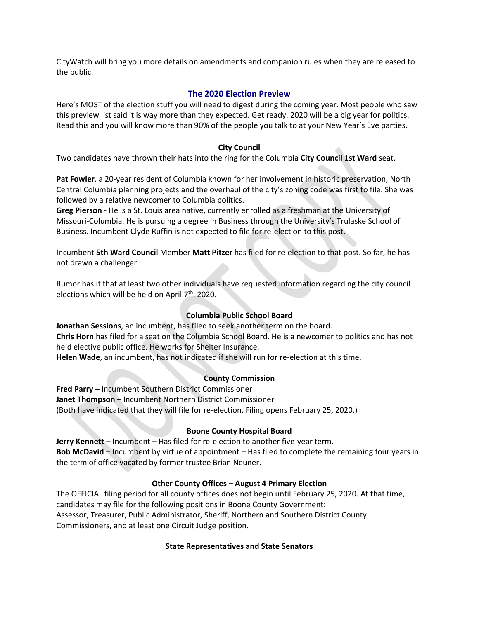CityWatch will bring you more details on amendments and companion rules when they are released to the public.

## **The 2020 Election Preview**

Here's MOST of the election stuff you will need to digest during the coming year. Most people who saw this preview list said it is way more than they expected. Get ready. 2020 will be a big year for politics. Read this and you will know more than 90% of the people you talk to at your New Year's Eve parties.

## **City Council**

Two candidates have thrown their hats into the ring for the Columbia **City Council 1st Ward** seat.

**Pat Fowler**, a 20-year resident of Columbia known for her involvement in historic preservation, North Central Columbia planning projects and the overhaul of the city's zoning code was first to file. She was followed by a relative newcomer to Columbia politics.

**Greg Pierson** - He is a St. Louis area native, currently enrolled as a freshman at the University of Missouri-Columbia. He is pursuing a degree in Business through the University's Trulaske School of Business. Incumbent Clyde Ruffin is not expected to file for re-election to this post.

Incumbent **5th Ward Council** Member **Matt Pitzer** has filed for re-election to that post. So far, he has not drawn a challenger.

Rumor has it that at least two other individuals have requested information regarding the city council elections which will be held on April 7<sup>th</sup>, 2020.

# **Columbia Public School Board**

**Jonathan Sessions**, an incumbent, has filed to seek another term on the board. **Chris Horn** has filed for a seat on the Columbia School Board. He is a newcomer to politics and has not held elective public office. He works for Shelter Insurance. **Helen Wade**, an incumbent, has not indicated if she will run for re-election at this time.

## **County Commission**

**Fred Parry** – Incumbent Southern District Commissioner **Janet Thompson** – Incumbent Northern District Commissioner (Both have indicated that they will file for re-election. Filing opens February 25, 2020.)

## **Boone County Hospital Board**

**Jerry Kennett** – Incumbent – Has filed for re-election to another five-year term. **Bob McDavid** – Incumbent by virtue of appointment – Has filed to complete the remaining four years in the term of office vacated by former trustee Brian Neuner.

## **Other County Offices – August 4 Primary Election**

The OFFICIAL filing period for all county offices does not begin until February 25, 2020. At that time, candidates may file for the following positions in Boone County Government: Assessor, Treasurer, Public Administrator, Sheriff, Northern and Southern District County Commissioners, and at least one Circuit Judge position.

## **State Representatives and State Senators**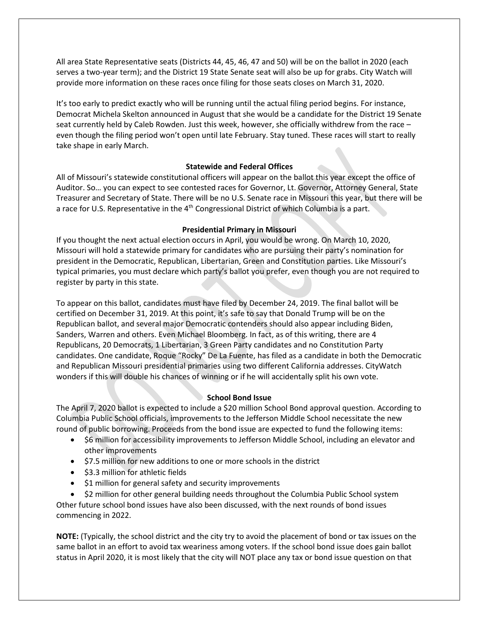All area State Representative seats (Districts 44, 45, 46, 47 and 50) will be on the ballot in 2020 (each serves a two-year term); and the District 19 State Senate seat will also be up for grabs. City Watch will provide more information on these races once filing for those seats closes on March 31, 2020.

It's too early to predict exactly who will be running until the actual filing period begins. For instance, Democrat Michela Skelton announced in August that she would be a candidate for the District 19 Senate seat currently held by Caleb Rowden. Just this week, however, she officially withdrew from the race – even though the filing period won't open until late February. Stay tuned. These races will start to really take shape in early March.

#### **Statewide and Federal Offices**

All of Missouri's statewide constitutional officers will appear on the ballot this year except the office of Auditor. So… you can expect to see contested races for Governor, Lt. Governor, Attorney General, State Treasurer and Secretary of State. There will be no U.S. Senate race in Missouri this year, but there will be a race for U.S. Representative in the 4<sup>th</sup> Congressional District of which Columbia is a part.

## **Presidential Primary in Missouri**

If you thought the next actual election occurs in April, you would be wrong. On March 10, 2020, Missouri will hold a statewide primary for candidates who are pursuing their party's nomination for president in the Democratic, Republican, Libertarian, Green and Constitution parties. Like Missouri's typical primaries, you must declare which party's ballot you prefer, even though you are not required to register by party in this state.

To appear on this ballot, candidates must have filed by December 24, 2019. The final ballot will be certified on December 31, 2019. At this point, it's safe to say that Donald Trump will be on the Republican ballot, and several major Democratic contenders should also appear including Biden, Sanders, Warren and others. Even Michael Bloomberg. In fact, as of this writing, there are 4 Republicans, 20 Democrats, 1 Libertarian, 3 Green Party candidates and no Constitution Party candidates. One candidate, Roque "Rocky" De La Fuente, has filed as a candidate in both the Democratic and Republican Missouri presidential primaries using two different California addresses. CityWatch wonders if this will double his chances of winning or if he will accidentally split his own vote.

## **School Bond Issue**

The April 7, 2020 ballot is expected to include a \$20 million School Bond approval question. According to Columbia Public School officials, improvements to the Jefferson Middle School necessitate the new round of public borrowing. Proceeds from the bond issue are expected to fund the following items:

- \$6 million for accessibility improvements to Jefferson Middle School, including an elevator and other improvements
- \$7.5 million for new additions to one or more schools in the district
- \$3.3 million for athletic fields
- \$1 million for general safety and security improvements

• \$2 million for other general building needs throughout the Columbia Public School system Other future school bond issues have also been discussed, with the next rounds of bond issues commencing in 2022.

**NOTE:** (Typically, the school district and the city try to avoid the placement of bond or tax issues on the same ballot in an effort to avoid tax weariness among voters. If the school bond issue does gain ballot status in April 2020, it is most likely that the city will NOT place any tax or bond issue question on that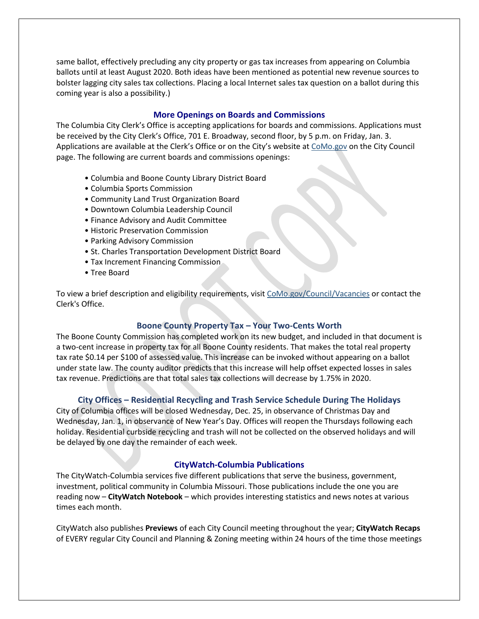same ballot, effectively precluding any city property or gas tax increases from appearing on Columbia ballots until at least August 2020. Both ideas have been mentioned as potential new revenue sources to bolster lagging city sales tax collections. Placing a local Internet sales tax question on a ballot during this coming year is also a possibility.)

#### **More Openings on Boards and Commissions**

The Columbia City Clerk's Office is accepting applications for boards and commissions. Applications must be received by the City Clerk's Office, 701 E. Broadway, second floor, by 5 p.m. on Friday, Jan. 3. Applications are available at the Clerk's Office or on the City's website at [CoMo.gov](https://www.como.gov/) on the City Council page. The following are current boards and commissions openings:

- Columbia and Boone County Library District Board
- Columbia Sports Commission
- Community Land Trust Organization Board
- Downtown Columbia Leadership Council
- Finance Advisory and Audit Committee
- Historic Preservation Commission
- Parking Advisory Commission
- St. Charles Transportation Development District Board
- Tax Increment Financing Commission
- Tree Board

To view a brief description and eligibility requirements, visit [CoMo.gov/Council/Vacancies](https://www.como.gov/council/vacancies/) or contact the Clerk's Office.

#### **Boone County Property Tax – Your Two-Cents Worth**

The Boone County Commission has completed work on its new budget, and included in that document is a two-cent increase in property tax for all Boone County residents. That makes the total real property tax rate \$0.14 per \$100 of assessed value. This increase can be invoked without appearing on a ballot under state law. The county auditor predicts that this increase will help offset expected losses in sales tax revenue. Predictions are that total sales tax collections will decrease by 1.75% in 2020.

## **City Offices – Residential Recycling and Trash Service Schedule During The Holidays**

City of Columbia offices will be closed Wednesday, Dec. 25, in observance of Christmas Day and Wednesday, Jan. 1, in observance of New Year's Day. Offices will reopen the Thursdays following each holiday. Residential curbside recycling and trash will not be collected on the observed holidays and will be delayed by one day the remainder of each week.

## **CityWatch-Columbia Publications**

The CityWatch-Columbia services five different publications that serve the business, government, investment, political community in Columbia Missouri. Those publications include the one you are reading now – **CityWatch Notebook** – which provides interesting statistics and news notes at various times each month.

CityWatch also publishes **Previews** of each City Council meeting throughout the year; **CityWatch Recaps** of EVERY regular City Council and Planning & Zoning meeting within 24 hours of the time those meetings